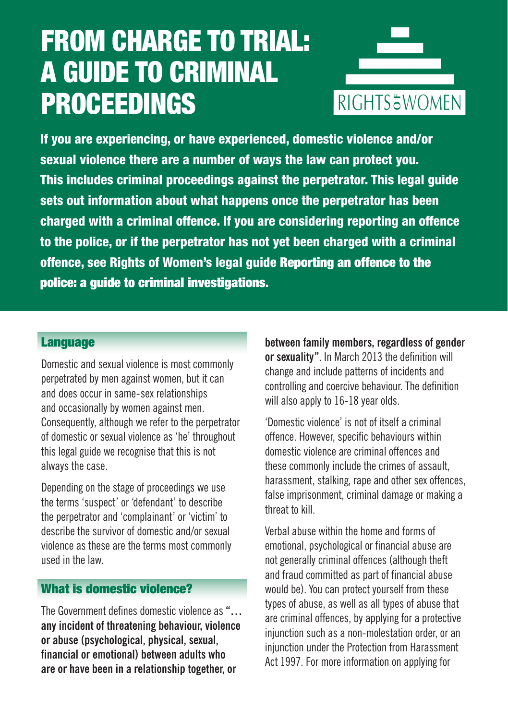# FROM CHARGE TO TRIAL: A GUIDE TO CRIMINAL PROCEEDINGS



If you are experiencing, or have experienced, domestic violence and/or sexual violence there are a number of ways the law can protect you. This includes criminal proceedings against the perpetrator. This legal guide sets out information about what happens once the perpetrator has been charged with a criminal offence. If you are considering reporting an offence to the police, or if the perpetrator has not yet been charged with a criminal offence, see Rights of Women's legal guide Reporting an offence to the police: a guide to criminal investigations.

## **Language**

Domestic and sexual violence is most commonly perpetrated by men against women, but it can and does occur in same-sex relationships and occasionally by women against men. Consequently, although we refer to the perpetrator of domestic or sexual violence as 'he' throughout this legal guide we recognise that this is not always the case.

Depending on the stage of proceedings we use the terms 'suspect' or 'defendant' to describe the perpetrator and 'complainant' or 'victim' to describe the survivor of domestic and/or sexual violence as these are the terms most commonly used in the law.

# What is domestic violence?

The Government defines domestic violence as **"… any incident of threatening behaviour, violence or abuse (psychological, physical, sexual, financial or emotional) between adults who are or have been in a relationship together, or** 

**between family members, regardless of gender or sexuality"**. In March 2013 the definition will change and include patterns of incidents and controlling and coercive behaviour. The definition will also apply to 16-18 year olds.

'Domestic violence' is not of itself a criminal offence. However, specific behaviours within domestic violence are criminal offences and these commonly include the crimes of assault, harassment, stalking, rape and other sex offences. false imprisonment, criminal damage or making a threat to kill.

Verbal abuse within the home and forms of emotional, psychological or financial abuse are not generally criminal offences (although theft and fraud committed as part of financial abuse would be). You can protect yourself from these types of abuse, as well as all types of abuse that are criminal offences, by applying for a protective injunction such as a non-molestation order, or an injunction under the Protection from Harassment Act 1997. For more information on applying for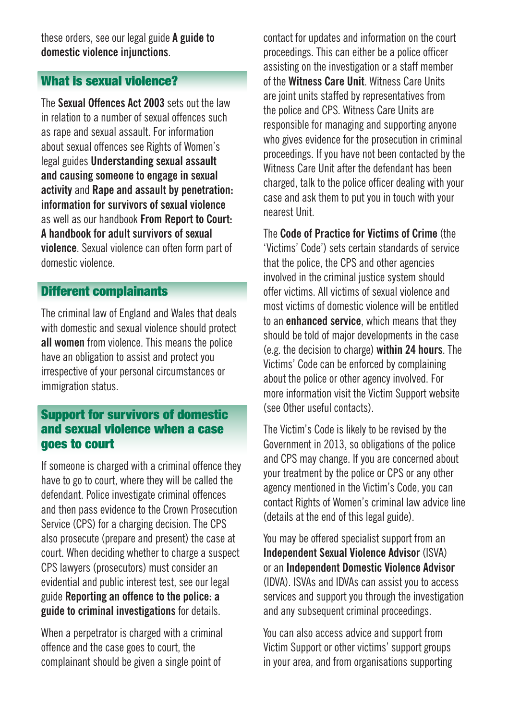these orders, see our legal guide **A guide to domestic violence injunctions**.

# What is sexual violence?

The **Sexual Offences Act 2003** sets out the law in relation to a number of sexual offences such as rape and sexual assault. For information about sexual offences see Rights of Women's legal guides **Understanding sexual assault and causing someone to engage in sexual activity** and **Rape and assault by penetration: information for survivors of sexual violence** as well as our handbook **From Report to Court: A handbook for adult survivors of sexual violence**. Sexual violence can often form part of domestic violence.

## Different complainants

The criminal law of England and Wales that deals with domestic and sexual violence should protect **all women** from violence. This means the police have an obligation to assist and protect you irrespective of your personal circumstances or immigration status.

## Support for survivors of domestic and sexual violence when a case goes to court

If someone is charged with a criminal offence they have to go to court, where they will be called the defendant. Police investigate criminal offences and then pass evidence to the Crown Prosecution Service (CPS) for a charging decision. The CPS also prosecute (prepare and present) the case at court. When deciding whether to charge a suspect CPS lawyers (prosecutors) must consider an evidential and public interest test, see our legal guide **Reporting an offence to the police: a guide to criminal investigations** for details.

When a perpetrator is charged with a criminal offence and the case goes to court, the complainant should be given a single point of

contact for updates and information on the court proceedings. This can either be a police officer assisting on the investigation or a staff member of the **Witness Care Unit**. Witness Care Units are joint units staffed by representatives from the police and CPS. Witness Care Units are responsible for managing and supporting anyone who gives evidence for the prosecution in criminal proceedings. If you have not been contacted by the Witness Care Unit after the defendant has been charged, talk to the police officer dealing with your case and ask them to put you in touch with your nearest Unit.

The **Code of Practice for Victims of Crime** (the 'Victims' Code') sets certain standards of service that the police, the CPS and other agencies involved in the criminal justice system should offer victims. All victims of sexual violence and most victims of domestic violence will be entitled to an **enhanced service**, which means that they should be told of major developments in the case (e.g. the decision to charge) **within 24 hours**. The Victims' Code can be enforced by complaining about the police or other agency involved. For more information visit the Victim Support website (see Other useful contacts).

The Victim's Code is likely to be revised by the Government in 2013, so obligations of the police and CPS may change. If you are concerned about your treatment by the police or CPS or any other agency mentioned in the Victim's Code, you can contact Rights of Women's criminal law advice line (details at the end of this legal guide).

You may be offered specialist support from an **Independent Sexual Violence Advisor** (ISVA) or an **Independent Domestic Violence Advisor** (IDVA). ISVAs and IDVAs can assist you to access services and support you through the investigation and any subsequent criminal proceedings.

You can also access advice and support from Victim Support or other victims' support groups in your area, and from organisations supporting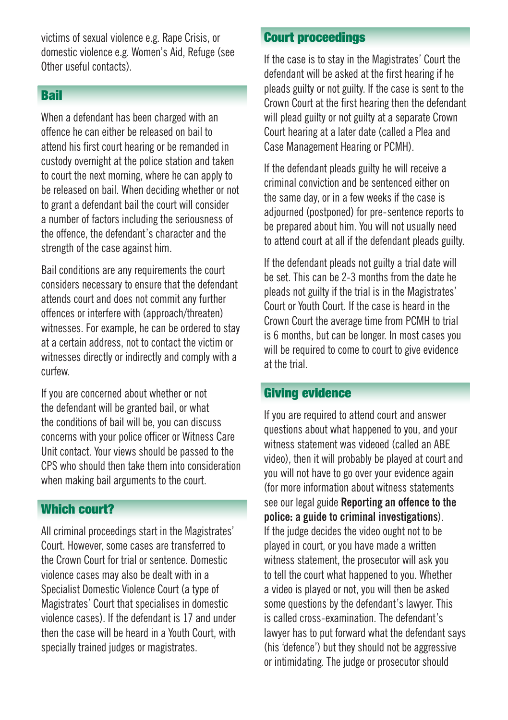victims of sexual violence e.g. Rape Crisis, or domestic violence e.g. Women's Aid, Refuge (see Other useful contacts).

## Bail

When a defendant has been charged with an offence he can either be released on bail to attend his first court hearing or be remanded in custody overnight at the police station and taken to court the next morning, where he can apply to be released on bail. When deciding whether or not to grant a defendant bail the court will consider a number of factors including the seriousness of the offence, the defendant's character and the strength of the case against him.

Bail conditions are any requirements the court considers necessary to ensure that the defendant attends court and does not commit any further offences or interfere with (approach/threaten) witnesses. For example, he can be ordered to stay at a certain address, not to contact the victim or witnesses directly or indirectly and comply with a curfew.

If you are concerned about whether or not the defendant will be granted bail, or what the conditions of bail will be, you can discuss concerns with your police officer or Witness Care Unit contact. Your views should be passed to the CPS who should then take them into consideration when making bail arguments to the court.

# Which court?

All criminal proceedings start in the Magistrates' Court. However, some cases are transferred to the Crown Court for trial or sentence. Domestic violence cases may also be dealt with in a Specialist Domestic Violence Court (a type of Magistrates' Court that specialises in domestic violence cases). If the defendant is 17 and under then the case will be heard in a Youth Court, with specially trained judges or magistrates.

# Court proceedings

If the case is to stay in the Magistrates' Court the defendant will be asked at the first hearing if he pleads guilty or not guilty. If the case is sent to the Crown Court at the first hearing then the defendant will plead guilty or not guilty at a separate Crown Court hearing at a later date (called a Plea and Case Management Hearing or PCMH).

If the defendant pleads guilty he will receive a criminal conviction and be sentenced either on the same day, or in a few weeks if the case is adjourned (postponed) for pre-sentence reports to be prepared about him. You will not usually need to attend court at all if the defendant pleads guilty.

If the defendant pleads not guilty a trial date will be set. This can be 2-3 months from the date he pleads not guilty if the trial is in the Magistrates' Court or Youth Court. If the case is heard in the Crown Court the average time from PCMH to trial is 6 months, but can be longer. In most cases you will be required to come to court to give evidence at the trial.

#### Giving evidence

If you are required to attend court and answer questions about what happened to you, and your witness statement was videoed (called an ABE video), then it will probably be played at court and you will not have to go over your evidence again (for more information about witness statements see our legal guide **Reporting an offence to the police: a guide to criminal investigations**). If the judge decides the video ought not to be played in court, or you have made a written witness statement, the prosecutor will ask you to tell the court what happened to you. Whether a video is played or not, you will then be asked some questions by the defendant's lawyer. This is called cross-examination. The defendant's lawyer has to put forward what the defendant says (his 'defence') but they should not be aggressive or intimidating. The judge or prosecutor should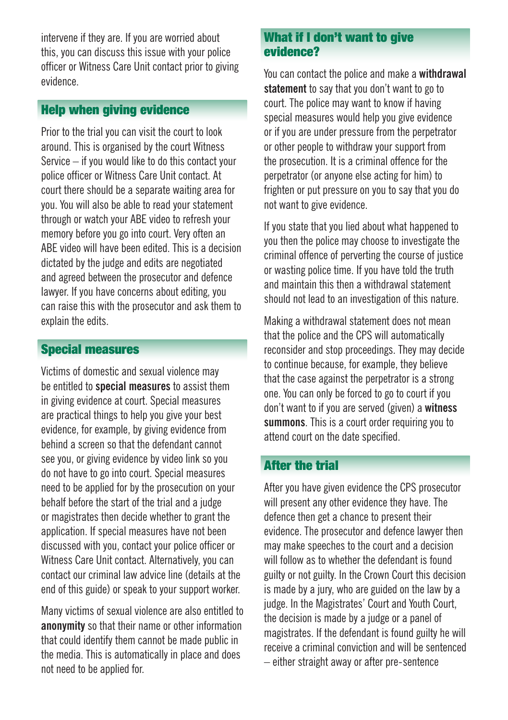intervene if they are. If you are worried about this, you can discuss this issue with your police officer or Witness Care Unit contact prior to giving evidence.

# Help when giving evidence

Prior to the trial you can visit the court to look around. This is organised by the court Witness Service – if you would like to do this contact your police officer or Witness Care Unit contact. At court there should be a separate waiting area for you. You will also be able to read your statement through or watch your ABE video to refresh your memory before you go into court. Very often an ABE video will have been edited. This is a decision dictated by the judge and edits are negotiated and agreed between the prosecutor and defence lawyer. If you have concerns about editing, you can raise this with the prosecutor and ask them to explain the edits.

# Special measures

Victims of domestic and sexual violence may be entitled to **special measures** to assist them in giving evidence at court. Special measures are practical things to help you give your best evidence, for example, by giving evidence from behind a screen so that the defendant cannot see you, or giving evidence by video link so you do not have to go into court. Special measures need to be applied for by the prosecution on your behalf before the start of the trial and a judge or magistrates then decide whether to grant the application. If special measures have not been discussed with you, contact your police officer or Witness Care Unit contact. Alternatively, you can contact our criminal law advice line (details at the end of this guide) or speak to your support worker.

Many victims of sexual violence are also entitled to **anonymity** so that their name or other information that could identify them cannot be made public in the media. This is automatically in place and does not need to be applied for.

#### What if I don't want to give evidence?

You can contact the police and make a **withdrawal statement** to say that you don't want to go to court. The police may want to know if having special measures would help you give evidence or if you are under pressure from the perpetrator or other people to withdraw your support from the prosecution. It is a criminal offence for the perpetrator (or anyone else acting for him) to frighten or put pressure on you to say that you do not want to give evidence.

If you state that you lied about what happened to you then the police may choose to investigate the criminal offence of perverting the course of justice or wasting police time. If you have told the truth and maintain this then a withdrawal statement should not lead to an investigation of this nature.

Making a withdrawal statement does not mean that the police and the CPS will automatically reconsider and stop proceedings. They may decide to continue because, for example, they believe that the case against the perpetrator is a strong one. You can only be forced to go to court if you don't want to if you are served (given) a **witness summons**. This is a court order requiring you to attend court on the date specified.

# After the trial

After you have given evidence the CPS prosecutor will present any other evidence they have. The defence then get a chance to present their evidence. The prosecutor and defence lawyer then may make speeches to the court and a decision will follow as to whether the defendant is found guilty or not guilty. In the Crown Court this decision is made by a jury, who are guided on the law by a judge. In the Magistrates' Court and Youth Court, the decision is made by a judge or a panel of magistrates. If the defendant is found guilty he will receive a criminal conviction and will be sentenced – either straight away or after pre-sentence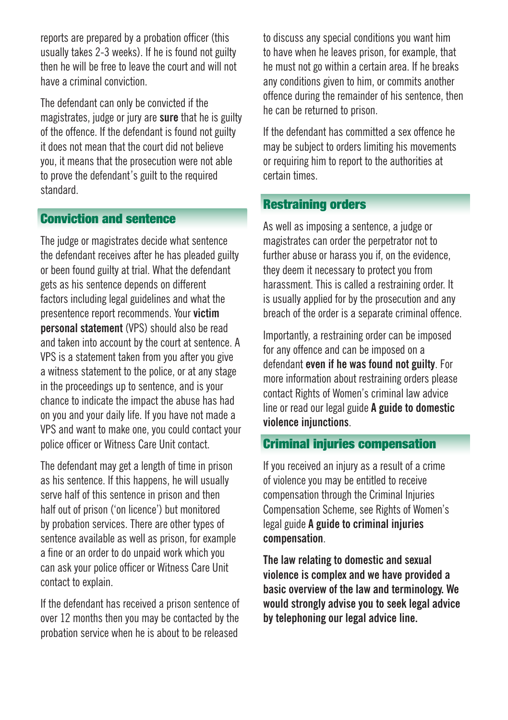reports are prepared by a probation officer (this usually takes 2-3 weeks). If he is found not guilty then he will be free to leave the court and will not have a criminal conviction.

The defendant can only be convicted if the magistrates, judge or jury are **sure** that he is guilty of the offence. If the defendant is found not guilty it does not mean that the court did not believe you, it means that the prosecution were not able to prove the defendant's guilt to the required standard.

## Conviction and sentence

The judge or magistrates decide what sentence the defendant receives after he has pleaded guilty or been found guilty at trial. What the defendant gets as his sentence depends on different factors including legal guidelines and what the presentence report recommends. Your **victim personal statement** (VPS) should also be read and taken into account by the court at sentence. A VPS is a statement taken from you after you give a witness statement to the police, or at any stage in the proceedings up to sentence, and is your chance to indicate the impact the abuse has had on you and your daily life. If you have not made a VPS and want to make one, you could contact your police officer or Witness Care Unit contact.

The defendant may get a length of time in prison as his sentence. If this happens, he will usually serve half of this sentence in prison and then half out of prison ('on licence') but monitored by probation services. There are other types of sentence available as well as prison, for example a fine or an order to do unpaid work which you can ask your police officer or Witness Care Unit contact to explain.

If the defendant has received a prison sentence of over 12 months then you may be contacted by the probation service when he is about to be released

to discuss any special conditions you want him to have when he leaves prison, for example, that he must not go within a certain area. If he breaks any conditions given to him, or commits another offence during the remainder of his sentence, then he can be returned to prison.

If the defendant has committed a sex offence he may be subject to orders limiting his movements or requiring him to report to the authorities at certain times.

## Restraining orders

As well as imposing a sentence, a judge or magistrates can order the perpetrator not to further abuse or harass you if, on the evidence. they deem it necessary to protect you from harassment. This is called a restraining order. It is usually applied for by the prosecution and any breach of the order is a separate criminal offence.

Importantly, a restraining order can be imposed for any offence and can be imposed on a defendant **even if he was found not guilty**. For more information about restraining orders please contact Rights of Women's criminal law advice line or read our legal guide **A guide to domestic violence injunctions**.

#### Criminal injuries compensation

If you received an injury as a result of a crime of violence you may be entitled to receive compensation through the Criminal Injuries Compensation Scheme, see Rights of Women's legal guide **A guide to criminal injuries compensation**.

**The law relating to domestic and sexual violence is complex and we have provided a basic overview of the law and terminology. We would strongly advise you to seek legal advice by telephoning our legal advice line.**